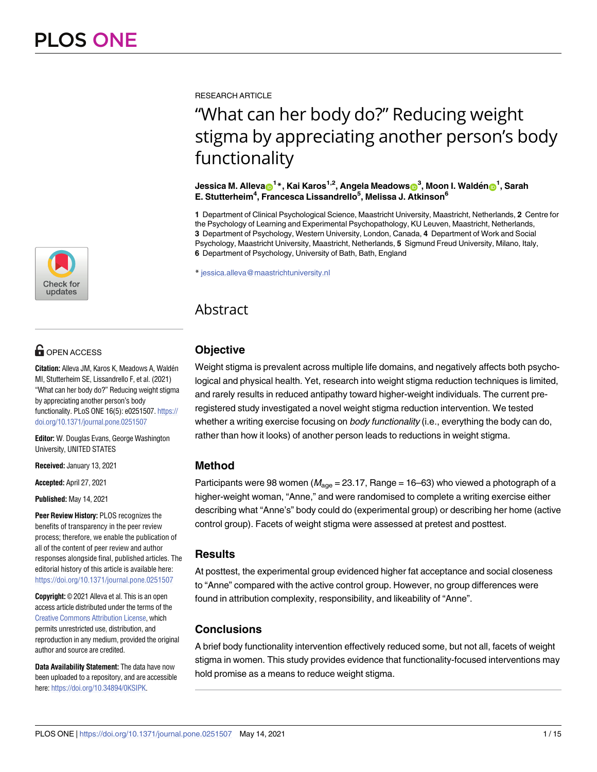

# $\blacksquare$  OPEN ACCESS

**Citation:** Alleva JM, Karos K, Meadows A, Waldén MI, Stutterheim SE, Lissandrello F, et al. (2021) "What can her body do?" Reducing weight stigma by appreciating another person's body functionality. PLoS ONE 16(5): e0251507. [https://](https://doi.org/10.1371/journal.pone.0251507) [doi.org/10.1371/journal.pone.0251507](https://doi.org/10.1371/journal.pone.0251507)

**Editor:** W. Douglas Evans, George Washington University, UNITED STATES

**Received:** January 13, 2021

**Accepted:** April 27, 2021

**Published:** May 14, 2021

**Peer Review History:** PLOS recognizes the benefits of transparency in the peer review process; therefore, we enable the publication of all of the content of peer review and author responses alongside final, published articles. The editorial history of this article is available here: <https://doi.org/10.1371/journal.pone.0251507>

**Copyright:** © 2021 Alleva et al. This is an open access article distributed under the terms of the Creative Commons [Attribution](http://creativecommons.org/licenses/by/4.0/) License, which permits unrestricted use, distribution, and reproduction in any medium, provided the original author and source are credited.

**Data Availability Statement:** The data have now been uploaded to a repository, and are accessible here: <https://doi.org/10.34894/0KSIPK>.

RESEARCH ARTICLE

# "What can her body do?" Reducing weight stigma by appreciating another person's body functionality

 $\lambda$  Jessica M. Alleva $\textbf{D}^{1*}$ , Kai Karos $^{1,2}$ , Angela Meadows $\textbf{D}^{3}$ , Moon I. Waldén $\textbf{D}^{1}$ , Sarah **E. Stutterheim4 , Francesca Lissandrello5 , Melissa J. Atkinson6**

**1** Department of Clinical Psychological Science, Maastricht University, Maastricht, Netherlands, **2** Centre for the Psychology of Learning and Experimental Psychopathology, KU Leuven, Maastricht, Netherlands, **3** Department of Psychology, Western University, London, Canada, **4** Department of Work and Social Psychology, Maastricht University, Maastricht, Netherlands, **5** Sigmund Freud University, Milano, Italy, **6** Department of Psychology, University of Bath, Bath, England

\* jessica.alleva@maastrichtuniversity.nl

## Abstract

## **Objective**

Weight stigma is prevalent across multiple life domains, and negatively affects both psychological and physical health. Yet, research into weight stigma reduction techniques is limited, and rarely results in reduced antipathy toward higher-weight individuals. The current preregistered study investigated a novel weight stigma reduction intervention. We tested whether a writing exercise focusing on *body functionality* (i.e., everything the body can do, rather than how it looks) of another person leads to reductions in weight stigma.

## **Method**

Participants were 98 women ( $M_{\text{age}} = 23.17$ , Range = 16–63) who viewed a photograph of a higher-weight woman, "Anne," and were randomised to complete a writing exercise either describing what "Anne's" body could do (experimental group) or describing her home (active control group). Facets of weight stigma were assessed at pretest and posttest.

## **Results**

At posttest, the experimental group evidenced higher fat acceptance and social closeness to "Anne" compared with the active control group. However, no group differences were found in attribution complexity, responsibility, and likeability of "Anne".

## **Conclusions**

A brief body functionality intervention effectively reduced some, but not all, facets of weight stigma in women. This study provides evidence that functionality-focused interventions may hold promise as a means to reduce weight stigma.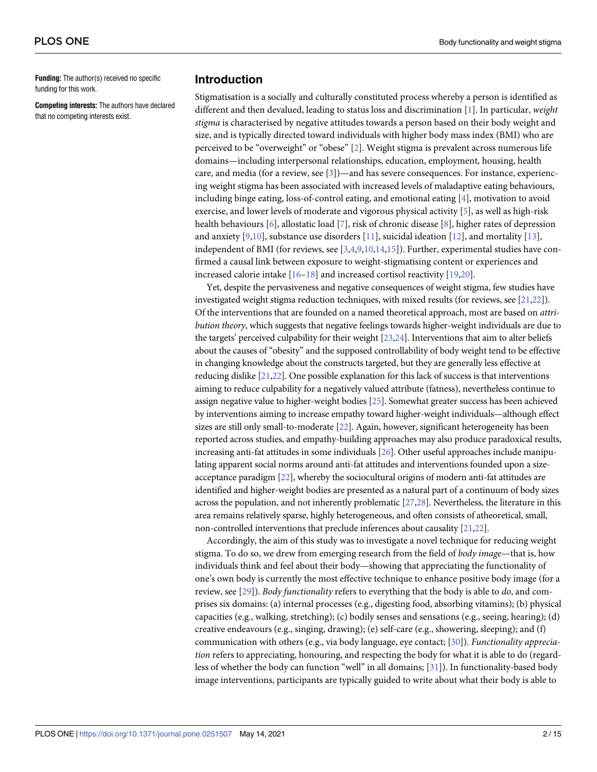<span id="page-1-0"></span>**Funding:** The author(s) received no specific funding for this work.

**Competing interests:** The authors have declared that no competing interests exist.

#### **Introduction**

Stigmatisation is a socially and culturally constituted process whereby a person is identified as different and then devalued, leading to status loss and discrimination [[1](#page-11-0)]. In particular, *weight stigma* is characterised by negative attitudes towards a person based on their body weight and size, and is typically directed toward individuals with higher body mass index (BMI) who are perceived to be "overweight" or "obese" [\[2\]](#page-11-0). Weight stigma is prevalent across numerous life domains—including interpersonal relationships, education, employment, housing, health care, and media (for a review, see [\[3](#page-11-0)])—and has severe consequences. For instance, experiencing weight stigma has been associated with increased levels of maladaptive eating behaviours, including binge eating, loss-of-control eating, and emotional eating [\[4](#page-11-0)], motivation to avoid exercise, and lower levels of moderate and vigorous physical activity [\[5\]](#page-11-0), as well as high-risk health behaviours [\[6\]](#page-11-0), allostatic load [[7\]](#page-11-0), risk of chronic disease [\[8](#page-11-0)], higher rates of depression and anxiety  $[9,10]$  $[9,10]$  $[9,10]$  $[9,10]$ , substance use disorders  $[11]$ , suicidal ideation  $[12]$  $[12]$  $[12]$ , and mortality  $[13]$ , independent of BMI (for reviews, see [\[3,4,9](#page-11-0)[,10,14,15](#page-12-0)]). Further, experimental studies have confirmed a causal link between exposure to weight-stigmatising content or experiences and increased calorie intake [\[16–18](#page-12-0)] and increased cortisol reactivity [[19](#page-12-0),[20](#page-12-0)].

Yet, despite the pervasiveness and negative consequences of weight stigma, few studies have investigated weight stigma reduction techniques, with mixed results (for reviews, see [[21,22](#page-12-0)]). Of the interventions that are founded on a named theoretical approach, most are based on *attribution theory*, which suggests that negative feelings towards higher-weight individuals are due to the targets' perceived culpability for their weight [[23,24\]](#page-12-0). Interventions that aim to alter beliefs about the causes of "obesity" and the supposed controllability of body weight tend to be effective in changing knowledge about the constructs targeted, but they are generally less effective at reducing dislike [\[21,22\]](#page-12-0). One possible explanation for this lack of success is that interventions aiming to reduce culpability for a negatively valued attribute (fatness), nevertheless continue to assign negative value to higher-weight bodies [[25](#page-12-0)]. Somewhat greater success has been achieved by interventions aiming to increase empathy toward higher-weight individuals—although effect sizes are still only small-to-moderate [\[22](#page-12-0)]. Again, however, significant heterogeneity has been reported across studies, and empathy-building approaches may also produce paradoxical results, increasing anti-fat attitudes in some individuals [\[26\]](#page-12-0). Other useful approaches include manipulating apparent social norms around anti-fat attitudes and interventions founded upon a sizeacceptance paradigm [\[22](#page-12-0)], whereby the sociocultural origins of modern anti-fat attitudes are identified and higher-weight bodies are presented as a natural part of a continuum of body sizes across the population, and not inherently problematic [[27,28\]](#page-12-0). Nevertheless, the literature in this area remains relatively sparse, highly heterogeneous, and often consists of atheoretical, small, non-controlled interventions that preclude inferences about causality [[21,22](#page-12-0)].

Accordingly, the aim of this study was to investigate a novel technique for reducing weight stigma. To do so, we drew from emerging research from the field of *body image*—that is, how individuals think and feel about their body—showing that appreciating the functionality of one's own body is currently the most effective technique to enhance positive body image (for a review, see [\[29\]](#page-12-0)). *Body functionality* refers to everything that the body is able to *do*, and comprises six domains: (a) internal processes (e.g., digesting food, absorbing vitamins); (b) physical capacities (e.g., walking, stretching); (c) bodily senses and sensations (e.g., seeing, hearing); (d) creative endeavours (e.g., singing, drawing); (e) self-care (e.g., showering, sleeping); and (f) communication with others (e.g., via body language, eye contact; [[30](#page-12-0)]). *Functionality appreciation* refers to appreciating, honouring, and respecting the body for what it is able to do (regardless of whether the body can function "well" in all domains; [[31](#page-12-0)]). In functionality-based body image interventions, participants are typically guided to write about what their body is able to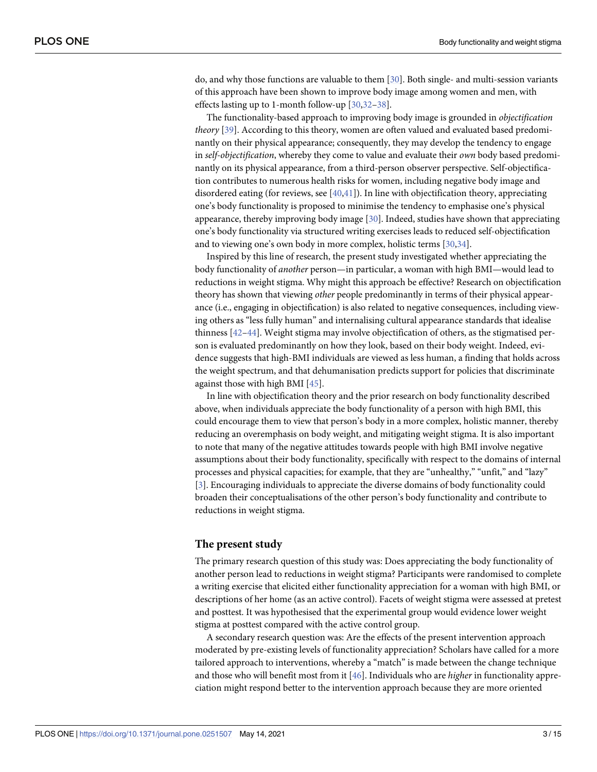<span id="page-2-0"></span>do, and why those functions are valuable to them [\[30\]](#page-12-0). Both single- and multi-session variants of this approach have been shown to improve body image among women and men, with effects lasting up to 1-month follow-up [\[30](#page-12-0)[,32–38](#page-13-0)].

The functionality-based approach to improving body image is grounded in *objectification theory* [\[39\]](#page-13-0). According to this theory, women are often valued and evaluated based predominantly on their physical appearance; consequently, they may develop the tendency to engage in *self-objectification*, whereby they come to value and evaluate their *own* body based predominantly on its physical appearance, from a third-person observer perspective. Self-objectification contributes to numerous health risks for women, including negative body image and disordered eating (for reviews, see  $[40,41]$  $[40,41]$ ). In line with objectification theory, appreciating one's body functionality is proposed to minimise the tendency to emphasise one's physical appearance, thereby improving body image [\[30\]](#page-12-0). Indeed, studies have shown that appreciating one's body functionality via structured writing exercises leads to reduced self-objectification and to viewing one's own body in more complex, holistic terms [\[30,](#page-12-0)[34](#page-13-0)].

Inspired by this line of research, the present study investigated whether appreciating the body functionality of *another* person—in particular, a woman with high BMI—would lead to reductions in weight stigma. Why might this approach be effective? Research on objectification theory has shown that viewing *other* people predominantly in terms of their physical appearance (i.e., engaging in objectification) is also related to negative consequences, including viewing others as "less fully human" and internalising cultural appearance standards that idealise thinness [[42](#page-13-0)–[44](#page-13-0)]. Weight stigma may involve objectification of others, as the stigmatised person is evaluated predominantly on how they look, based on their body weight. Indeed, evidence suggests that high-BMI individuals are viewed as less human, a finding that holds across the weight spectrum, and that dehumanisation predicts support for policies that discriminate against those with high BMI [\[45\]](#page-13-0).

In line with objectification theory and the prior research on body functionality described above, when individuals appreciate the body functionality of a person with high BMI, this could encourage them to view that person's body in a more complex, holistic manner, thereby reducing an overemphasis on body weight, and mitigating weight stigma. It is also important to note that many of the negative attitudes towards people with high BMI involve negative assumptions about their body functionality, specifically with respect to the domains of internal processes and physical capacities; for example, that they are "unhealthy," "unfit," and "lazy" [\[3](#page-11-0)]. Encouraging individuals to appreciate the diverse domains of body functionality could broaden their conceptualisations of the other person's body functionality and contribute to reductions in weight stigma.

#### **The present study**

The primary research question of this study was: Does appreciating the body functionality of another person lead to reductions in weight stigma? Participants were randomised to complete a writing exercise that elicited either functionality appreciation for a woman with high BMI, or descriptions of her home (as an active control). Facets of weight stigma were assessed at pretest and posttest. It was hypothesised that the experimental group would evidence lower weight stigma at posttest compared with the active control group.

A secondary research question was: Are the effects of the present intervention approach moderated by pre-existing levels of functionality appreciation? Scholars have called for a more tailored approach to interventions, whereby a "match" is made between the change technique and those who will benefit most from it [\[46\]](#page-13-0). Individuals who are *higher* in functionality appreciation might respond better to the intervention approach because they are more oriented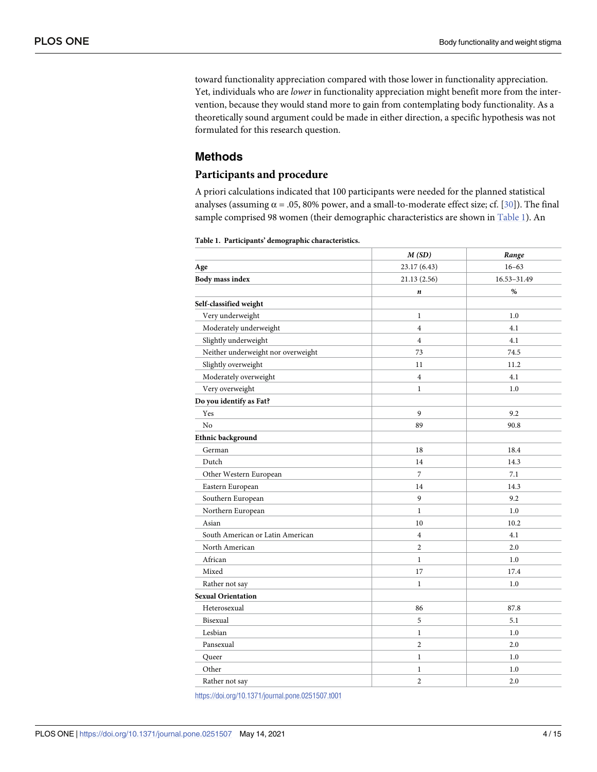<span id="page-3-0"></span>toward functionality appreciation compared with those lower in functionality appreciation. Yet, individuals who are *lower* in functionality appreciation might benefit more from the intervention, because they would stand more to gain from contemplating body functionality. As a theoretically sound argument could be made in either direction, a specific hypothesis was not formulated for this research question.

### **Methods**

#### **Participants and procedure**

A priori calculations indicated that 100 participants were needed for the planned statistical analyses (assuming  $\alpha$  = .05, 80% power, and a small-to-moderate effect size; cf. [\[30\]](#page-12-0)). The final sample comprised 98 women (their demographic characteristics are shown in Table 1). An

|  |  |  | Table 1. Participants' demographic characteristics. |
|--|--|--|-----------------------------------------------------|
|--|--|--|-----------------------------------------------------|

|                                    | M(SD)          | Range       |  |
|------------------------------------|----------------|-------------|--|
| Age                                | 23.17 (6.43)   | $16 - 63$   |  |
| <b>Body mass index</b>             | 21.13(2.56)    | 16.53-31.49 |  |
|                                    | n              | %           |  |
| Self-classified weight             |                |             |  |
| Very underweight                   | $\mathbf{1}$   | 1.0         |  |
| Moderately underweight             | $\overline{4}$ | 4.1         |  |
| Slightly underweight               | $\overline{4}$ | 4.1         |  |
| Neither underweight nor overweight | 73             | 74.5        |  |
| Slightly overweight                | 11             | 11.2        |  |
| Moderately overweight              | $\overline{4}$ | 4.1         |  |
| Very overweight                    | $\mathbf{1}$   | 1.0         |  |
| Do you identify as Fat?            |                |             |  |
| Yes                                | 9              | 9.2         |  |
| N <sub>o</sub>                     | 89             | 90.8        |  |
| Ethnic background                  |                |             |  |
| German                             | 18             | 18.4        |  |
| Dutch                              | 14             | 14.3        |  |
| Other Western European             | 7              | 7.1         |  |
| Eastern European                   | 14             | 14.3        |  |
| Southern European                  | 9              | 9.2         |  |
| Northern European                  | $\mathbf{1}$   | 1.0         |  |
| Asian                              | 10             | 10.2        |  |
| South American or Latin American   | $\overline{4}$ | 4.1         |  |
| North American                     | $\overline{2}$ | 2.0         |  |
| African                            | $\mathbf{1}$   | 1.0         |  |
| Mixed                              | 17             | 17.4        |  |
| Rather not say                     | $\mathbf{1}$   | 1.0         |  |
| <b>Sexual Orientation</b>          |                |             |  |
| Heterosexual                       | 86             | 87.8        |  |
| Bisexual                           | 5              | 5.1         |  |
| Lesbian                            | $\mathbf{1}$   | 1.0         |  |
| Pansexual                          | $\overline{2}$ | 2.0         |  |
| Queer                              | $\mathbf{1}$   | 1.0         |  |
| Other                              | $\mathbf{1}$   | 1.0         |  |
| Rather not say                     | 2              | 2.0         |  |

<https://doi.org/10.1371/journal.pone.0251507.t001>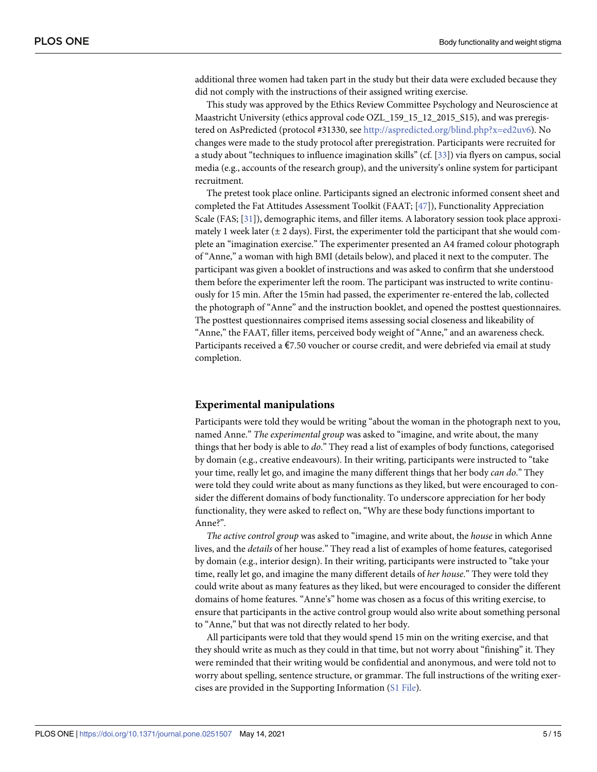<span id="page-4-0"></span>additional three women had taken part in the study but their data were excluded because they did not comply with the instructions of their assigned writing exercise.

This study was approved by the Ethics Review Committee Psychology and Neuroscience at Maastricht University (ethics approval code OZL\_159\_15\_12\_2015\_S15), and was preregistered on AsPredicted (protocol #31330, see [http://aspredicted.org/blind.php?x=ed2uv6\)](http://aspredicted.org/blind.php?x=ed2uv6). No changes were made to the study protocol after preregistration. Participants were recruited for a study about "techniques to influence imagination skills" (cf. [\[33\]](#page-13-0)) via flyers on campus, social media (e.g., accounts of the research group), and the university's online system for participant recruitment.

The pretest took place online. Participants signed an electronic informed consent sheet and completed the Fat Attitudes Assessment Toolkit (FAAT; [\[47\]](#page-13-0)), Functionality Appreciation Scale (FAS; [\[31\]](#page-12-0)), demographic items, and filler items. A laboratory session took place approximately 1 week later  $(\pm 2 \text{ days})$ . First, the experimenter told the participant that she would complete an "imagination exercise." The experimenter presented an A4 framed colour photograph of "Anne," a woman with high BMI (details below), and placed it next to the computer. The participant was given a booklet of instructions and was asked to confirm that she understood them before the experimenter left the room. The participant was instructed to write continuously for 15 min. After the 15min had passed, the experimenter re-entered the lab, collected the photograph of "Anne" and the instruction booklet, and opened the posttest questionnaires. The posttest questionnaires comprised items assessing social closeness and likeability of "Anne," the FAAT, filler items, perceived body weight of "Anne," and an awareness check. Participants received a €7.50 voucher or course credit, and were debriefed via email at study completion.

#### **Experimental manipulations**

Participants were told they would be writing "about the woman in the photograph next to you, named Anne." *The experimental group* was asked to "imagine, and write about, the many things that her body is able to *do*." They read a list of examples of body functions, categorised by domain (e.g., creative endeavours). In their writing, participants were instructed to "take your time, really let go, and imagine the many different things that her body *can do*." They were told they could write about as many functions as they liked, but were encouraged to consider the different domains of body functionality. To underscore appreciation for her body functionality, they were asked to reflect on, "Why are these body functions important to Anne?".

*The active control group* was asked to "imagine, and write about, the *house* in which Anne lives, and the *details* of her house." They read a list of examples of home features, categorised by domain (e.g., interior design). In their writing, participants were instructed to "take your time, really let go, and imagine the many different details of *her house*." They were told they could write about as many features as they liked, but were encouraged to consider the different domains of home features. "Anne's" home was chosen as a focus of this writing exercise, to ensure that participants in the active control group would also write about something personal to "Anne," but that was not directly related to her body.

All participants were told that they would spend 15 min on the writing exercise, and that they should write as much as they could in that time, but not worry about "finishing" it. They were reminded that their writing would be confidential and anonymous, and were told not to worry about spelling, sentence structure, or grammar. The full instructions of the writing exercises are provided in the Supporting Information (S1 [File\)](#page-11-0).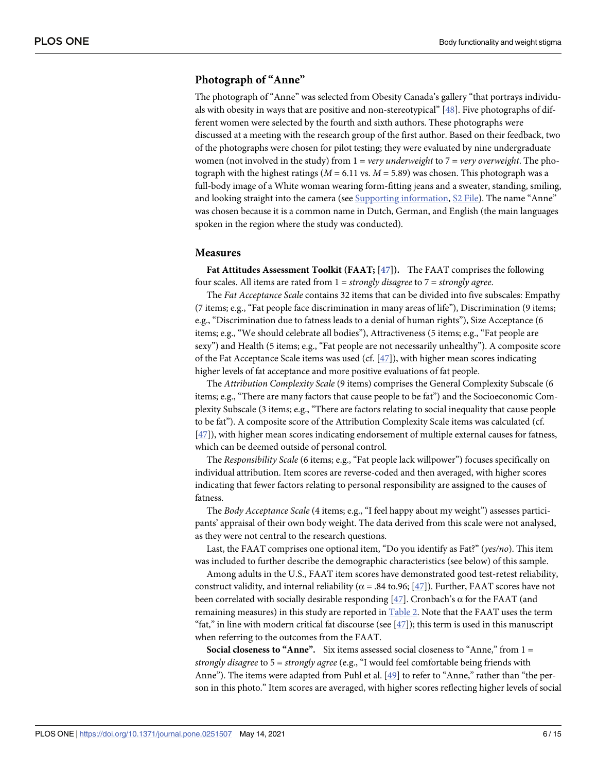#### <span id="page-5-0"></span>**Photograph of "Anne"**

The photograph of "Anne" was selected from Obesity Canada's gallery "that portrays individuals with obesity in ways that are positive and non-stereotypical" [[48](#page-13-0)]. Five photographs of different women were selected by the fourth and sixth authors. These photographs were discussed at a meeting with the research group of the first author. Based on their feedback, two of the photographs were chosen for pilot testing; they were evaluated by nine undergraduate women (not involved in the study) from 1 = *very underweight* to 7 = *very overweight*. The photograph with the highest ratings  $(M = 6.11 \text{ vs. } M = 5.89)$  was chosen. This photograph was a full-body image of a White woman wearing form-fitting jeans and a sweater, standing, smiling, and looking straight into the camera (see Supporting [information](#page-11-0), S2 [File\)](#page-11-0). The name "Anne" was chosen because it is a common name in Dutch, German, and English (the main languages spoken in the region where the study was conducted).

#### **Measures**

**Fat Attitudes Assessment Toolkit (FAAT; [[47](#page-13-0)]).** The FAAT comprises the following four scales. All items are rated from 1 = *strongly disagree* to 7 = *strongly agree*.

The *Fat Acceptance Scale* contains 32 items that can be divided into five subscales: Empathy (7 items; e.g., "Fat people face discrimination in many areas of life"), Discrimination (9 items; e.g., "Discrimination due to fatness leads to a denial of human rights"), Size Acceptance (6 items; e.g., "We should celebrate all bodies"), Attractiveness (5 items; e.g., "Fat people are sexy") and Health (5 items; e.g., "Fat people are not necessarily unhealthy"). A composite score of the Fat Acceptance Scale items was used (cf. [[47](#page-13-0)]), with higher mean scores indicating higher levels of fat acceptance and more positive evaluations of fat people.

The *Attribution Complexity Scale* (9 items) comprises the General Complexity Subscale (6 items; e.g., "There are many factors that cause people to be fat") and the Socioeconomic Complexity Subscale (3 items; e.g., "There are factors relating to social inequality that cause people to be fat"). A composite score of the Attribution Complexity Scale items was calculated (cf. [\[47\]](#page-13-0)), with higher mean scores indicating endorsement of multiple external causes for fatness, which can be deemed outside of personal control.

The *Responsibility Scale* (6 items; e.g., "Fat people lack willpower") focuses specifically on individual attribution. Item scores are reverse-coded and then averaged, with higher scores indicating that fewer factors relating to personal responsibility are assigned to the causes of fatness.

The *Body Acceptance Scale* (4 items; e.g., "I feel happy about my weight") assesses participants' appraisal of their own body weight. The data derived from this scale were not analysed, as they were not central to the research questions.

Last, the FAAT comprises one optional item, "Do you identify as Fat?" (*yes/no*). This item was included to further describe the demographic characteristics (see below) of this sample.

Among adults in the U.S., FAAT item scores have demonstrated good test-retest reliability, construct validity, and internal reliability ( $\alpha$  = .84 to.96; [[47](#page-13-0)]). Further, FAAT scores have not been correlated with socially desirable responding [\[47\]](#page-13-0). Cronbach's  $\alpha$  for the FAAT (and remaining measures) in this study are reported in [Table](#page-6-0) 2. Note that the FAAT uses the term "fat," in line with modern critical fat discourse (see  $[47]$  $[47]$  $[47]$ ); this term is used in this manuscript when referring to the outcomes from the FAAT.

**Social closeness to "Anne".** Six items assessed social closeness to "Anne," from 1 = *strongly disagree* to 5 = *strongly agree* (e.g., "I would feel comfortable being friends with Anne"). The items were adapted from Puhl et al. [[49](#page-13-0)] to refer to "Anne," rather than "the person in this photo." Item scores are averaged, with higher scores reflecting higher levels of social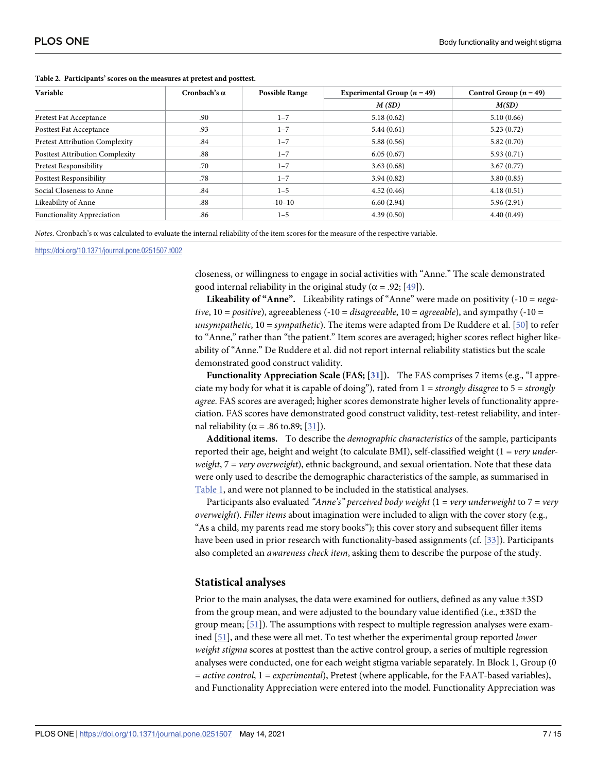| Variable                               | Cronbach's $\alpha$ | <b>Possible Range</b> | Experimental Group ( $n = 49$ ) | Control Group $(n = 49)$ |
|----------------------------------------|---------------------|-----------------------|---------------------------------|--------------------------|
|                                        |                     |                       | M(SD)                           | M(SD)                    |
| Pretest Fat Acceptance                 | .90                 | $1 - 7$               | 5.18(0.62)                      | 5.10(0.66)               |
| Posttest Fat Acceptance                | .93                 | $1 - 7$               | 5.44(0.61)                      | 5.23(0.72)               |
| <b>Pretest Attribution Complexity</b>  | .84                 | $1 - 7$               | 5.88(0.56)                      | 5.82(0.70)               |
| <b>Posttest Attribution Complexity</b> | .88                 | $1 - 7$               | 6.05(0.67)                      | 5.93(0.71)               |
| Pretest Responsibility                 | .70                 | $1 - 7$               | 3.63(0.68)                      | 3.67(0.77)               |
| <b>Posttest Responsibility</b>         | .78                 | $1 - 7$               | 3.94(0.82)                      | 3.80(0.85)               |
| Social Closeness to Anne               | .84                 | $1 - 5$               | 4.52(0.46)                      | 4.18(0.51)               |
| Likeability of Anne                    | .88                 | $-10-10$              | 6.60(2.94)                      | 5.96(2.91)               |
| <b>Functionality Appreciation</b>      | .86                 | $1 - 5$               | 4.39(0.50)                      | 4.40(0.49)               |

<span id="page-6-0"></span>**[Table](#page-5-0) 2. Participants' scores on the measures at pretest and posttest.**

*Notes*. Cronbach's α was calculated to evaluate the internal reliability of the item scores for the measure of the respective variable.

<https://doi.org/10.1371/journal.pone.0251507.t002>

closeness, or willingness to engage in social activities with "Anne." The scale demonstrated good internal reliability in the original study ( $\alpha$  = .92; [\[49\]](#page-13-0)).

**Likeability of "Anne".** Likeability ratings of "Anne" were made on positivity (-10 = *negative*, 10 = *positive*), agreeableness (-10 = *disagreeable*, 10 = *agreeable*), and sympathy (-10 = *unsympathetic*, 10 = *sympathetic*). The items were adapted from De Ruddere et al. [\[50\]](#page-13-0) to refer to "Anne," rather than "the patient." Item scores are averaged; higher scores reflect higher likeability of "Anne." De Ruddere et al. did not report internal reliability statistics but the scale demonstrated good construct validity.

**Functionality Appreciation Scale (FAS; [\[31](#page-12-0)]).** The FAS comprises 7 items (e.g., "I appreciate my body for what it is capable of doing"), rated from 1 = *strongly disagree* to 5 = *strongly agree*. FAS scores are averaged; higher scores demonstrate higher levels of functionality appreciation. FAS scores have demonstrated good construct validity, test-retest reliability, and internal reliability ( $\alpha$  = .86 to.89; [\[31\]](#page-12-0)).

**Additional items.** To describe the *demographic characteristics* of the sample, participants reported their age, height and weight (to calculate BMI), self-classified weight (1 = *very underweight*, 7 = *very overweight*), ethnic background, and sexual orientation. Note that these data were only used to describe the demographic characteristics of the sample, as summarised in [Table](#page-3-0) 1, and were not planned to be included in the statistical analyses.

Participants also evaluated *"Anne's" perceived body weight* (1 = *very underweight* to 7 = *very overweight*). *Filler items* about imagination were included to align with the cover story (e.g., "As a child, my parents read me story books"); this cover story and subsequent filler items have been used in prior research with functionality-based assignments (cf. [[33](#page-13-0)]). Participants also completed an *awareness check item*, asking them to describe the purpose of the study.

#### **Statistical analyses**

Prior to the main analyses, the data were examined for outliers, defined as any value ±3SD from the group mean, and were adjusted to the boundary value identified (i.e.,  $\pm 3SD$  the group mean; [\[51\]](#page-13-0)). The assumptions with respect to multiple regression analyses were examined [\[51\]](#page-13-0), and these were all met. To test whether the experimental group reported *lower weight stigma* scores at posttest than the active control group, a series of multiple regression analyses were conducted, one for each weight stigma variable separately. In Block 1, Group (0 = *active control*, 1 = *experimental*), Pretest (where applicable, for the FAAT-based variables), and Functionality Appreciation were entered into the model. Functionality Appreciation was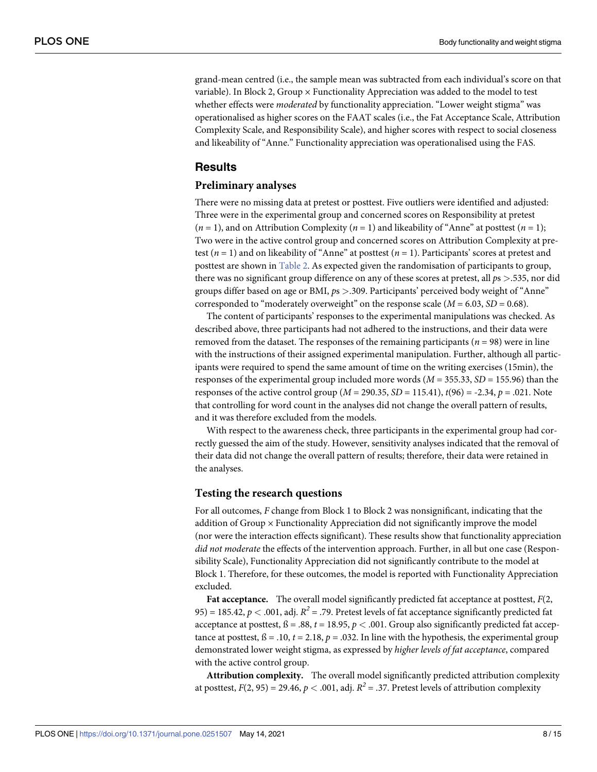grand-mean centred (i.e., the sample mean was subtracted from each individual's score on that variable). In Block 2, Group  $\times$  Functionality Appreciation was added to the model to test whether effects were *moderated* by functionality appreciation. "Lower weight stigma" was operationalised as higher scores on the FAAT scales (i.e., the Fat Acceptance Scale, Attribution Complexity Scale, and Responsibility Scale), and higher scores with respect to social closeness and likeability of "Anne." Functionality appreciation was operationalised using the FAS.

#### **Results**

#### **Preliminary analyses**

There were no missing data at pretest or posttest. Five outliers were identified and adjusted: Three were in the experimental group and concerned scores on Responsibility at pretest  $(n = 1)$ , and on Attribution Complexity  $(n = 1)$  and likeability of "Anne" at posttest  $(n = 1)$ ; Two were in the active control group and concerned scores on Attribution Complexity at pretest (*n* = 1) and on likeability of "Anne" at posttest (*n* = 1). Participants' scores at pretest and posttest are shown in [Table](#page-6-0) 2. As expected given the randomisation of participants to group, there was no significant group difference on any of these scores at pretest, all *p*s *>*.535, nor did groups differ based on age or BMI, *p*s *>*.309. Participants' perceived body weight of "Anne" corresponded to "moderately overweight" on the response scale  $(M = 6.03, SD = 0.68)$ .

The content of participants' responses to the experimental manipulations was checked. As described above, three participants had not adhered to the instructions, and their data were removed from the dataset. The responses of the remaining participants ( $n = 98$ ) were in line with the instructions of their assigned experimental manipulation. Further, although all participants were required to spend the same amount of time on the writing exercises (15min), the responses of the experimental group included more words (*M* = 355.33, *SD* = 155.96) than the responses of the active control group ( $M = 290.35$ ,  $SD = 115.41$ ),  $t(96) = -2.34$ ,  $p = .021$ . Note that controlling for word count in the analyses did not change the overall pattern of results, and it was therefore excluded from the models.

With respect to the awareness check, three participants in the experimental group had correctly guessed the aim of the study. However, sensitivity analyses indicated that the removal of their data did not change the overall pattern of results; therefore, their data were retained in the analyses.

#### **Testing the research questions**

For all outcomes, *F* change from Block 1 to Block 2 was nonsignificant, indicating that the addition of Group × Functionality Appreciation did not significantly improve the model (nor were the interaction effects significant). These results show that functionality appreciation *did not moderate* the effects of the intervention approach. Further, in all but one case (Responsibility Scale), Functionality Appreciation did not significantly contribute to the model at Block 1. Therefore, for these outcomes, the model is reported with Functionality Appreciation excluded.

**Fat acceptance.** The overall model significantly predicted fat acceptance at posttest, *F*(2, 95) = 185.42,  $p < .001$ , adj.  $R^2 = .79$ . Pretest levels of fat acceptance significantly predicted fat acceptance at posttest,  $\beta = .88$ ,  $t = 18.95$ ,  $p < .001$ . Group also significantly predicted fat acceptance at posttest,  $\beta = .10$ ,  $t = 2.18$ ,  $p = .032$ . In line with the hypothesis, the experimental group demonstrated lower weight stigma, as expressed by *higher levels of fat acceptance*, compared with the active control group.

**Attribution complexity.** The overall model significantly predicted attribution complexity at posttest,  $F(2, 95) = 29.46$ ,  $p < .001$ , adj.  $R^2 = .37$ . Pretest levels of attribution complexity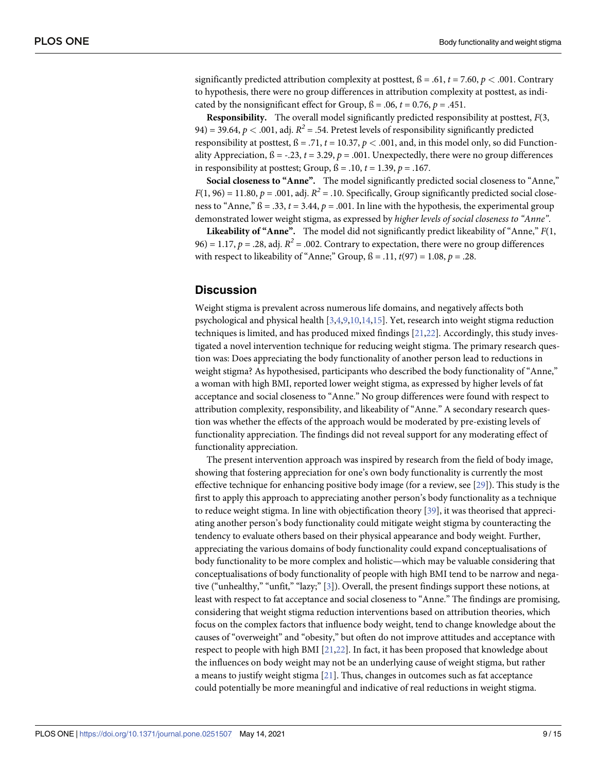significantly predicted attribution complexity at posttest,  $\beta = .61$ ,  $t = 7.60$ ,  $p < .001$ . Contrary to hypothesis, there were no group differences in attribution complexity at posttest, as indicated by the nonsignificant effect for Group,  $\beta$  = .06,  $t$  = 0.76,  $p$  = .451.

**Responsibility.** The overall model significantly predicted responsibility at posttest, *F*(3, 94) = 39.64,  $p < .001$ , adj.  $R^2 = .54$ . Pretest levels of responsibility significantly predicted responsibility at posttest,  $\beta = .71$ ,  $t = 10.37$ ,  $p < .001$ , and, in this model only, so did Functionality Appreciation,  $\beta = -0.23$ ,  $t = 3.29$ ,  $p = 0.001$ . Unexpectedly, there were no group differences in responsibility at posttest; Group,  $\beta = .10$ ,  $t = 1.39$ ,  $p = .167$ .

**Social closeness to "Anne".** The model significantly predicted social closeness to "Anne,"  $F(1, 96) = 11.80$ ,  $p = .001$ , adj.  $R^2 = .10$ . Specifically, Group significantly predicted social closeness to "Anne,"  $\beta = .33$ ,  $t = 3.44$ ,  $p = .001$ . In line with the hypothesis, the experimental group demonstrated lower weight stigma, as expressed by *higher levels of social closeness to "Anne"*.

**Likeability of "Anne".** The model did not significantly predict likeability of "Anne," *F*(1, 96) = 1.17,  $p = .28$ , adj.  $R^2 = .002$ . Contrary to expectation, there were no group differences with respect to likeability of "Anne;" Group, ß = .11, *t*(97) = 1.08, *p* = .28.

#### **Discussion**

Weight stigma is prevalent across numerous life domains, and negatively affects both psychological and physical health [\[3,4,9,](#page-11-0)[10,14](#page-12-0),[15\]](#page-12-0). Yet, research into weight stigma reduction techniques is limited, and has produced mixed findings [\[21,22\]](#page-12-0). Accordingly, this study investigated a novel intervention technique for reducing weight stigma. The primary research question was: Does appreciating the body functionality of another person lead to reductions in weight stigma? As hypothesised, participants who described the body functionality of "Anne," a woman with high BMI, reported lower weight stigma, as expressed by higher levels of fat acceptance and social closeness to "Anne." No group differences were found with respect to attribution complexity, responsibility, and likeability of "Anne." A secondary research question was whether the effects of the approach would be moderated by pre-existing levels of functionality appreciation. The findings did not reveal support for any moderating effect of functionality appreciation.

The present intervention approach was inspired by research from the field of body image, showing that fostering appreciation for one's own body functionality is currently the most effective technique for enhancing positive body image (for a review, see [[29](#page-12-0)]). This study is the first to apply this approach to appreciating another person's body functionality as a technique to reduce weight stigma. In line with objectification theory [\[39\]](#page-13-0), it was theorised that appreciating another person's body functionality could mitigate weight stigma by counteracting the tendency to evaluate others based on their physical appearance and body weight. Further, appreciating the various domains of body functionality could expand conceptualisations of body functionality to be more complex and holistic—which may be valuable considering that conceptualisations of body functionality of people with high BMI tend to be narrow and negative ("unhealthy," "unfit," "lazy;" [\[3\]](#page-11-0)). Overall, the present findings support these notions, at least with respect to fat acceptance and social closeness to "Anne." The findings are promising, considering that weight stigma reduction interventions based on attribution theories, which focus on the complex factors that influence body weight, tend to change knowledge about the causes of "overweight" and "obesity," but often do not improve attitudes and acceptance with respect to people with high BMI [[21](#page-12-0),[22](#page-12-0)]. In fact, it has been proposed that knowledge about the influences on body weight may not be an underlying cause of weight stigma, but rather a means to justify weight stigma [[21\]](#page-12-0). Thus, changes in outcomes such as fat acceptance could potentially be more meaningful and indicative of real reductions in weight stigma.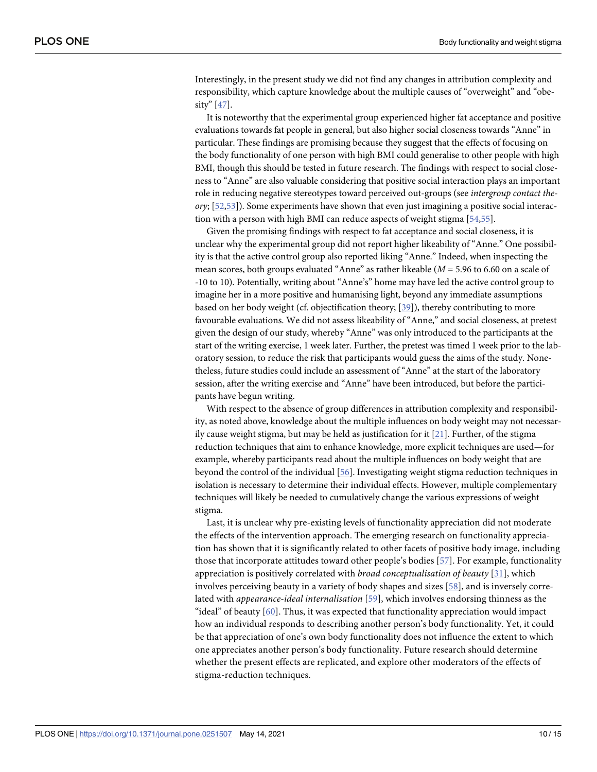<span id="page-9-0"></span>Interestingly, in the present study we did not find any changes in attribution complexity and responsibility, which capture knowledge about the multiple causes of "overweight" and "obesity" [\[47\]](#page-13-0).

It is noteworthy that the experimental group experienced higher fat acceptance and positive evaluations towards fat people in general, but also higher social closeness towards "Anne" in particular. These findings are promising because they suggest that the effects of focusing on the body functionality of one person with high BMI could generalise to other people with high BMI, though this should be tested in future research. The findings with respect to social closeness to "Anne" are also valuable considering that positive social interaction plays an important role in reducing negative stereotypes toward perceived out-groups (see *intergroup contact theory*; [[52,53\]](#page-13-0)). Some experiments have shown that even just imagining a positive social interaction with a person with high BMI can reduce aspects of weight stigma [[54](#page-13-0)[,55\]](#page-14-0).

Given the promising findings with respect to fat acceptance and social closeness, it is unclear why the experimental group did not report higher likeability of "Anne." One possibility is that the active control group also reported liking "Anne." Indeed, when inspecting the mean scores, both groups evaluated "Anne" as rather likeable (*M* = 5.96 to 6.60 on a scale of -10 to 10). Potentially, writing about "Anne's" home may have led the active control group to imagine her in a more positive and humanising light, beyond any immediate assumptions based on her body weight (cf. objectification theory; [[39](#page-13-0)]), thereby contributing to more favourable evaluations. We did not assess likeability of "Anne," and social closeness, at pretest given the design of our study, whereby "Anne" was only introduced to the participants at the start of the writing exercise, 1 week later. Further, the pretest was timed 1 week prior to the laboratory session, to reduce the risk that participants would guess the aims of the study. Nonetheless, future studies could include an assessment of "Anne" at the start of the laboratory session, after the writing exercise and "Anne" have been introduced, but before the participants have begun writing.

With respect to the absence of group differences in attribution complexity and responsibility, as noted above, knowledge about the multiple influences on body weight may not necessarily cause weight stigma, but may be held as justification for it  $[21]$ . Further, of the stigma reduction techniques that aim to enhance knowledge, more explicit techniques are used—for example, whereby participants read about the multiple influences on body weight that are beyond the control of the individual [[56](#page-14-0)]. Investigating weight stigma reduction techniques in isolation is necessary to determine their individual effects. However, multiple complementary techniques will likely be needed to cumulatively change the various expressions of weight stigma.

Last, it is unclear why pre-existing levels of functionality appreciation did not moderate the effects of the intervention approach. The emerging research on functionality appreciation has shown that it is significantly related to other facets of positive body image, including those that incorporate attitudes toward other people's bodies [\[57\]](#page-14-0). For example, functionality appreciation is positively correlated with *broad conceptualisation of beauty* [[31\]](#page-12-0), which involves perceiving beauty in a variety of body shapes and sizes [\[58\]](#page-14-0), and is inversely correlated with *appearance-ideal internalisation* [[59](#page-14-0)], which involves endorsing thinness as the "ideal" of beauty [[60](#page-14-0)]. Thus, it was expected that functionality appreciation would impact how an individual responds to describing another person's body functionality. Yet, it could be that appreciation of one's own body functionality does not influence the extent to which one appreciates another person's body functionality. Future research should determine whether the present effects are replicated, and explore other moderators of the effects of stigma-reduction techniques.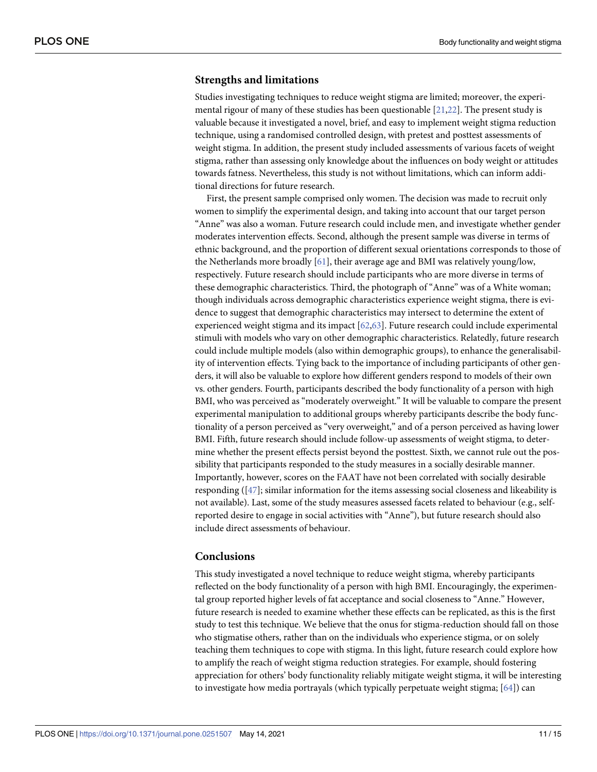#### <span id="page-10-0"></span>**Strengths and limitations**

Studies investigating techniques to reduce weight stigma are limited; moreover, the experimental rigour of many of these studies has been questionable [\[21,22\]](#page-12-0). The present study is valuable because it investigated a novel, brief, and easy to implement weight stigma reduction technique, using a randomised controlled design, with pretest and posttest assessments of weight stigma. In addition, the present study included assessments of various facets of weight stigma, rather than assessing only knowledge about the influences on body weight or attitudes towards fatness. Nevertheless, this study is not without limitations, which can inform additional directions for future research.

First, the present sample comprised only women. The decision was made to recruit only women to simplify the experimental design, and taking into account that our target person "Anne" was also a woman. Future research could include men, and investigate whether gender moderates intervention effects. Second, although the present sample was diverse in terms of ethnic background, and the proportion of different sexual orientations corresponds to those of the Netherlands more broadly [\[61\]](#page-14-0), their average age and BMI was relatively young/low, respectively. Future research should include participants who are more diverse in terms of these demographic characteristics. Third, the photograph of "Anne" was of a White woman; though individuals across demographic characteristics experience weight stigma, there is evidence to suggest that demographic characteristics may intersect to determine the extent of experienced weight stigma and its impact [[62](#page-14-0),[63](#page-14-0)]. Future research could include experimental stimuli with models who vary on other demographic characteristics. Relatedly, future research could include multiple models (also within demographic groups), to enhance the generalisability of intervention effects. Tying back to the importance of including participants of other genders, it will also be valuable to explore how different genders respond to models of their own vs. other genders. Fourth, participants described the body functionality of a person with high BMI, who was perceived as "moderately overweight." It will be valuable to compare the present experimental manipulation to additional groups whereby participants describe the body functionality of a person perceived as "very overweight," and of a person perceived as having lower BMI. Fifth, future research should include follow-up assessments of weight stigma, to determine whether the present effects persist beyond the posttest. Sixth, we cannot rule out the possibility that participants responded to the study measures in a socially desirable manner. Importantly, however, scores on the FAAT have not been correlated with socially desirable responding ([\[47\]](#page-13-0); similar information for the items assessing social closeness and likeability is not available). Last, some of the study measures assessed facets related to behaviour (e.g., selfreported desire to engage in social activities with "Anne"), but future research should also include direct assessments of behaviour.

#### **Conclusions**

This study investigated a novel technique to reduce weight stigma, whereby participants reflected on the body functionality of a person with high BMI. Encouragingly, the experimental group reported higher levels of fat acceptance and social closeness to "Anne." However, future research is needed to examine whether these effects can be replicated, as this is the first study to test this technique. We believe that the onus for stigma-reduction should fall on those who stigmatise others, rather than on the individuals who experience stigma, or on solely teaching them techniques to cope with stigma. In this light, future research could explore how to amplify the reach of weight stigma reduction strategies. For example, should fostering appreciation for others' body functionality reliably mitigate weight stigma, it will be interesting to investigate how media portrayals (which typically perpetuate weight stigma; [[64](#page-14-0)]) can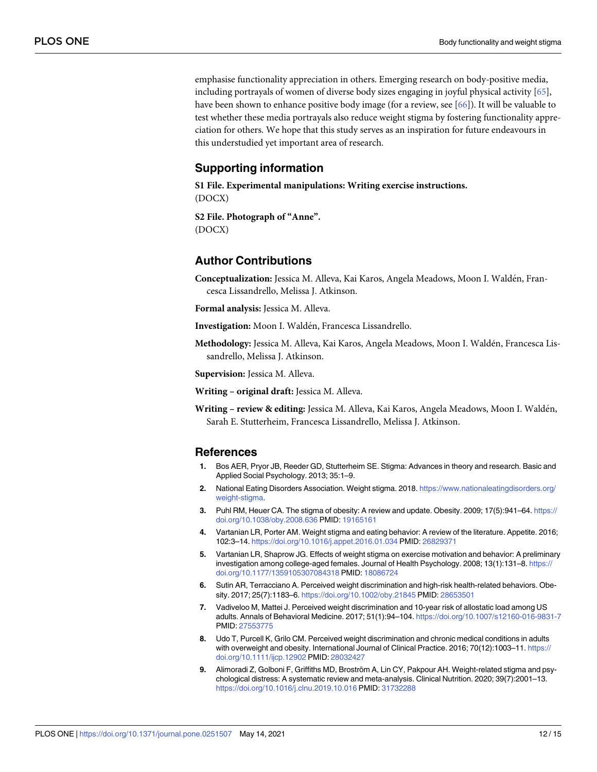<span id="page-11-0"></span>emphasise functionality appreciation in others. Emerging research on body-positive media, including portrayals of women of diverse body sizes engaging in joyful physical activity [[65](#page-14-0)], have been shown to enhance positive body image (for a review, see [[66](#page-14-0)]). It will be valuable to test whether these media portrayals also reduce weight stigma by fostering functionality appreciation for others. We hope that this study serves as an inspiration for future endeavours in this understudied yet important area of research.

#### **Supporting information**

**S1 [File.](http://www.plosone.org/article/fetchSingleRepresentation.action?uri=info:doi/10.1371/journal.pone.0251507.s001) Experimental manipulations: Writing exercise instructions.** (DOCX)

**S2 [File.](http://www.plosone.org/article/fetchSingleRepresentation.action?uri=info:doi/10.1371/journal.pone.0251507.s002) Photograph of "Anne".** (DOCX)

#### **Author Contributions**

**Conceptualization:** Jessica M. Alleva, Kai Karos, Angela Meadows, Moon I. Walde´n, Francesca Lissandrello, Melissa J. Atkinson.

**Formal analysis:** Jessica M. Alleva.

Investigation: Moon I. Waldén, Francesca Lissandrello.

Methodology: Jessica M. Alleva, Kai Karos, Angela Meadows, Moon I. Waldén, Francesca Lissandrello, Melissa J. Atkinson.

**Supervision:** Jessica M. Alleva.

**Writing – original draft:** Jessica M. Alleva.

**Writing – review & editing:** Jessica M. Alleva, Kai Karos, Angela Meadows, Moon I. Walde´n, Sarah E. Stutterheim, Francesca Lissandrello, Melissa J. Atkinson.

#### **References**

- **[1](#page-1-0).** Bos AER, Pryor JB, Reeder GD, Stutterheim SE. Stigma: Advances in theory and research. Basic and Applied Social Psychology. 2013; 35:1–9.
- **[2](#page-1-0).** National Eating Disorders Association. Weight stigma. 2018. [https://www.nationaleatingdisorders.org/](https://www.nationaleatingdisorders.org/weight-stigma) [weight-stigma.](https://www.nationaleatingdisorders.org/weight-stigma)
- **[3](#page-1-0).** Puhl RM, Heuer CA. The stigma of obesity: A review and update. Obesity. 2009; 17(5):941–64. [https://](https://doi.org/10.1038/oby.2008.636) [doi.org/10.1038/oby.2008.636](https://doi.org/10.1038/oby.2008.636) PMID: [19165161](http://www.ncbi.nlm.nih.gov/pubmed/19165161)
- **[4](#page-1-0).** Vartanian LR, Porter AM. Weight stigma and eating behavior: A review of the literature. Appetite. 2016; 102:3–14. <https://doi.org/10.1016/j.appet.2016.01.034> PMID: [26829371](http://www.ncbi.nlm.nih.gov/pubmed/26829371)
- **[5](#page-1-0).** Vartanian LR, Shaprow JG. Effects of weight stigma on exercise motivation and behavior: A preliminary investigation among college-aged females. Journal of Health Psychology. 2008; 13(1):131–8. [https://](https://doi.org/10.1177/1359105307084318) [doi.org/10.1177/1359105307084318](https://doi.org/10.1177/1359105307084318) PMID: [18086724](http://www.ncbi.nlm.nih.gov/pubmed/18086724)
- **[6](#page-1-0).** Sutin AR, Terracciano A. Perceived weight discrimination and high-risk health-related behaviors. Obesity. 2017; 25(7):1183–6. <https://doi.org/10.1002/oby.21845> PMID: [28653501](http://www.ncbi.nlm.nih.gov/pubmed/28653501)
- **[7](#page-1-0).** Vadiveloo M, Mattei J. Perceived weight discrimination and 10-year risk of allostatic load among US adults. Annals of Behavioral Medicine. 2017; 51(1):94–104. <https://doi.org/10.1007/s12160-016-9831-7> PMID: [27553775](http://www.ncbi.nlm.nih.gov/pubmed/27553775)
- **[8](#page-1-0).** Udo T, Purcell K, Grilo CM. Perceived weight discrimination and chronic medical conditions in adults with overweight and obesity. International Journal of Clinical Practice. 2016; 70(12):1003-11. [https://](https://doi.org/10.1111/ijcp.12902) [doi.org/10.1111/ijcp.12902](https://doi.org/10.1111/ijcp.12902) PMID: [28032427](http://www.ncbi.nlm.nih.gov/pubmed/28032427)
- **[9](#page-1-0).** Alimoradi Z, Golboni F, Griffiths MD, Broström A, Lin CY, Pakpour AH. Weight-related stigma and psychological distress: A systematic review and meta-analysis. Clinical Nutrition. 2020; 39(7):2001–13. <https://doi.org/10.1016/j.clnu.2019.10.016> PMID: [31732288](http://www.ncbi.nlm.nih.gov/pubmed/31732288)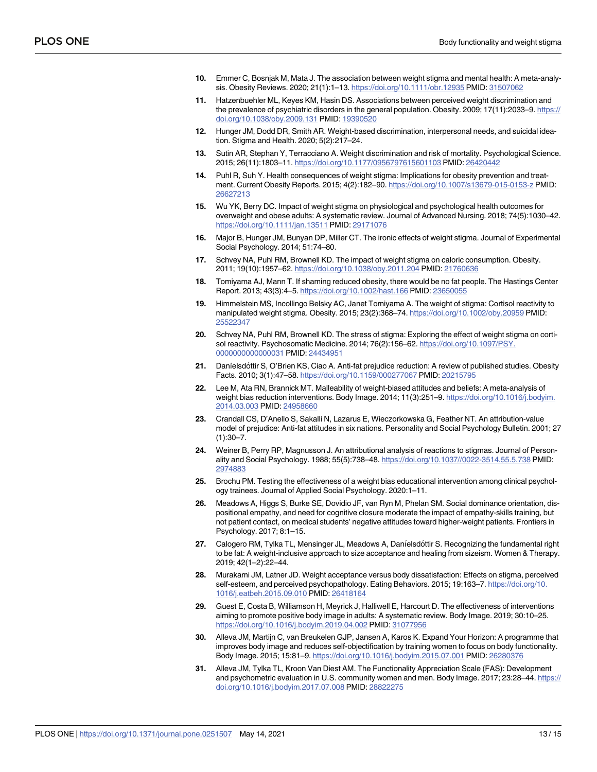- <span id="page-12-0"></span>**[10](#page-1-0).** Emmer C, Bosnjak M, Mata J. The association between weight stigma and mental health: A meta-analysis. Obesity Reviews. 2020; 21(1):1–13. <https://doi.org/10.1111/obr.12935> PMID: [31507062](http://www.ncbi.nlm.nih.gov/pubmed/31507062)
- **[11](#page-1-0).** Hatzenbuehler ML, Keyes KM, Hasin DS. Associations between perceived weight discrimination and the prevalence of psychiatric disorders in the general population. Obesity. 2009; 17(11):2033–9. [https://](https://doi.org/10.1038/oby.2009.131) [doi.org/10.1038/oby.2009.131](https://doi.org/10.1038/oby.2009.131) PMID: [19390520](http://www.ncbi.nlm.nih.gov/pubmed/19390520)
- **[12](#page-1-0).** Hunger JM, Dodd DR, Smith AR. Weight-based discrimination, interpersonal needs, and suicidal ideation. Stigma and Health. 2020; 5(2):217–24.
- **[13](#page-1-0).** Sutin AR, Stephan Y, Terracciano A. Weight discrimination and risk of mortality. Psychological Science. 2015; 26(11):1803–11. <https://doi.org/10.1177/0956797615601103> PMID: [26420442](http://www.ncbi.nlm.nih.gov/pubmed/26420442)
- **[14](#page-1-0).** Puhl R, Suh Y. Health consequences of weight stigma: Implications for obesity prevention and treatment. Current Obesity Reports. 2015; 4(2):182–90. <https://doi.org/10.1007/s13679-015-0153-z> PMID: [26627213](http://www.ncbi.nlm.nih.gov/pubmed/26627213)
- **[15](#page-1-0).** Wu YK, Berry DC. Impact of weight stigma on physiological and psychological health outcomes for overweight and obese adults: A systematic review. Journal of Advanced Nursing. 2018; 74(5):1030–42. <https://doi.org/10.1111/jan.13511> PMID: [29171076](http://www.ncbi.nlm.nih.gov/pubmed/29171076)
- **[16](#page-1-0).** Major B, Hunger JM, Bunyan DP, Miller CT. The ironic effects of weight stigma. Journal of Experimental Social Psychology. 2014; 51:74–80.
- **17.** Schvey NA, Puhl RM, Brownell KD. The impact of weight stigma on caloric consumption. Obesity. 2011; 19(10):1957–62. <https://doi.org/10.1038/oby.2011.204> PMID: [21760636](http://www.ncbi.nlm.nih.gov/pubmed/21760636)
- **[18](#page-1-0).** Tomiyama AJ, Mann T. If shaming reduced obesity, there would be no fat people. The Hastings Center Report. 2013; 43(3):4–5. <https://doi.org/10.1002/hast.166> PMID: [23650055](http://www.ncbi.nlm.nih.gov/pubmed/23650055)
- **[19](#page-1-0).** Himmelstein MS, Incollingo Belsky AC, Janet Tomiyama A. The weight of stigma: Cortisol reactivity to manipulated weight stigma. Obesity. 2015; 23(2):368–74. <https://doi.org/10.1002/oby.20959> PMID: [25522347](http://www.ncbi.nlm.nih.gov/pubmed/25522347)
- **[20](#page-1-0).** Schvey NA, Puhl RM, Brownell KD. The stress of stigma: Exploring the effect of weight stigma on cortisol reactivity. Psychosomatic Medicine. 2014; 76(2):156–62. [https://doi.org/10.1097/PSY.](https://doi.org/10.1097/PSY.0000000000000031) [0000000000000031](https://doi.org/10.1097/PSY.0000000000000031) PMID: [24434951](http://www.ncbi.nlm.nih.gov/pubmed/24434951)
- **[21](#page-1-0).** Danı´elsdo´ttir S, O'Brien KS, Ciao A. Anti-fat prejudice reduction: A review of published studies. Obesity Facts. 2010; 3(1):47–58. <https://doi.org/10.1159/000277067> PMID: [20215795](http://www.ncbi.nlm.nih.gov/pubmed/20215795)
- **[22](#page-1-0).** Lee M, Ata RN, Brannick MT. Malleability of weight-biased attitudes and beliefs: A meta-analysis of weight bias reduction interventions. Body Image. 2014; 11(3):251–9. [https://doi.org/10.1016/j.bodyim.](https://doi.org/10.1016/j.bodyim.2014.03.003) [2014.03.003](https://doi.org/10.1016/j.bodyim.2014.03.003) PMID: [24958660](http://www.ncbi.nlm.nih.gov/pubmed/24958660)
- **[23](#page-1-0).** Crandall CS, D'Anello S, Sakalli N, Lazarus E, Wieczorkowska G, Feather NT. An attribution-value model of prejudice: Anti-fat attitudes in six nations. Personality and Social Psychology Bulletin. 2001; 27  $(1):30 - 7.$
- **[24](#page-1-0).** Weiner B, Perry RP, Magnusson J. An attributional analysis of reactions to stigmas. Journal of Personality and Social Psychology. 1988; 55(5):738–48. <https://doi.org/10.1037//0022-3514.55.5.738> PMID: [2974883](http://www.ncbi.nlm.nih.gov/pubmed/2974883)
- **[25](#page-1-0).** Brochu PM. Testing the effectiveness of a weight bias educational intervention among clinical psychology trainees. Journal of Applied Social Psychology. 2020:1–11.
- **[26](#page-1-0).** Meadows A, Higgs S, Burke SE, Dovidio JF, van Ryn M, Phelan SM. Social dominance orientation, dispositional empathy, and need for cognitive closure moderate the impact of empathy-skills training, but not patient contact, on medical students' negative attitudes toward higher-weight patients. Frontiers in Psychology. 2017; 8:1–15.
- **[27](#page-1-0).** Calogero RM, Tylka TL, Mensinger JL, Meadows A, Danı´elsdo´ttir S. Recognizing the fundamental right to be fat: A weight-inclusive approach to size acceptance and healing from sizeism. Women & Therapy. 2019; 42(1–2):22–44.
- **[28](#page-1-0).** Murakami JM, Latner JD. Weight acceptance versus body dissatisfaction: Effects on stigma, perceived self-esteem, and perceived psychopathology. Eating Behaviors. 2015; 19:163–7. [https://doi.org/10.](https://doi.org/10.1016/j.eatbeh.2015.09.010) [1016/j.eatbeh.2015.09.010](https://doi.org/10.1016/j.eatbeh.2015.09.010) PMID: [26418164](http://www.ncbi.nlm.nih.gov/pubmed/26418164)
- **[29](#page-1-0).** Guest E, Costa B, Williamson H, Meyrick J, Halliwell E, Harcourt D. The effectiveness of interventions aiming to promote positive body image in adults: A systematic review. Body Image. 2019; 30:10–25. <https://doi.org/10.1016/j.bodyim.2019.04.002> PMID: [31077956](http://www.ncbi.nlm.nih.gov/pubmed/31077956)
- **[30](#page-1-0).** Alleva JM, Martijn C, van Breukelen GJP, Jansen A, Karos K. Expand Your Horizon: A programme that improves body image and reduces self-objectification by training women to focus on body functionality. Body Image. 2015; 15:81–9. <https://doi.org/10.1016/j.bodyim.2015.07.001> PMID: [26280376](http://www.ncbi.nlm.nih.gov/pubmed/26280376)
- **[31](#page-1-0).** Alleva JM, Tylka TL, Kroon Van Diest AM. The Functionality Appreciation Scale (FAS): Development and psychometric evaluation in U.S. community women and men. Body Image. 2017; 23:28–44. [https://](https://doi.org/10.1016/j.bodyim.2017.07.008) [doi.org/10.1016/j.bodyim.2017.07.008](https://doi.org/10.1016/j.bodyim.2017.07.008) PMID: [28822275](http://www.ncbi.nlm.nih.gov/pubmed/28822275)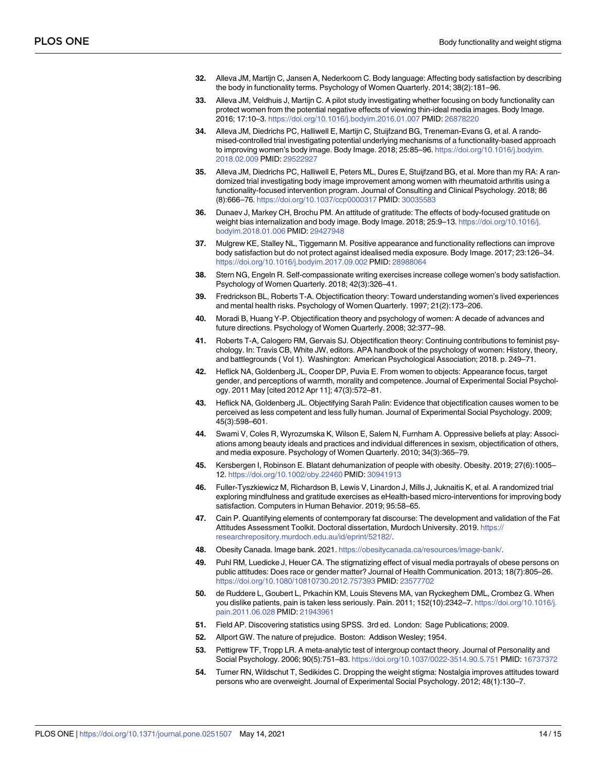- <span id="page-13-0"></span>**[32](#page-2-0).** Alleva JM, Martijn C, Jansen A, Nederkoorn C. Body language: Affecting body satisfaction by describing the body in functionality terms. Psychology of Women Quarterly. 2014; 38(2):181–96.
- **[33](#page-4-0).** Alleva JM, Veldhuis J, Martijn C. A pilot study investigating whether focusing on body functionality can protect women from the potential negative effects of viewing thin-ideal media images. Body Image. 2016; 17:10–3. <https://doi.org/10.1016/j.bodyim.2016.01.007> PMID: [26878220](http://www.ncbi.nlm.nih.gov/pubmed/26878220)
- **[34](#page-2-0).** Alleva JM, Diedrichs PC, Halliwell E, Martijn C, Stuijfzand BG, Treneman-Evans G, et al. A randomised-controlled trial investigating potential underlying mechanisms of a functionality-based approach to improving women's body image. Body Image. 2018; 25:85–96. [https://doi.org/10.1016/j.bodyim.](https://doi.org/10.1016/j.bodyim.2018.02.009) [2018.02.009](https://doi.org/10.1016/j.bodyim.2018.02.009) PMID: [29522927](http://www.ncbi.nlm.nih.gov/pubmed/29522927)
- **35.** Alleva JM, Diedrichs PC, Halliwell E, Peters ML, Dures E, Stuijfzand BG, et al. More than my RA: A randomized trial investigating body image improvement among women with rheumatoid arthritis using a functionality-focused intervention program. Journal of Consulting and Clinical Psychology. 2018; 86 (8):666–76. <https://doi.org/10.1037/ccp0000317> PMID: [30035583](http://www.ncbi.nlm.nih.gov/pubmed/30035583)
- **36.** Dunaev J, Markey CH, Brochu PM. An attitude of gratitude: The effects of body-focused gratitude on weight bias internalization and body image. Body Image. 2018; 25:9–13. [https://doi.org/10.1016/j.](https://doi.org/10.1016/j.bodyim.2018.01.006) [bodyim.2018.01.006](https://doi.org/10.1016/j.bodyim.2018.01.006) PMID: [29427948](http://www.ncbi.nlm.nih.gov/pubmed/29427948)
- **37.** Mulgrew KE, Stalley NL, Tiggemann M. Positive appearance and functionality reflections can improve body satisfaction but do not protect against idealised media exposure. Body Image. 2017; 23:126–34. <https://doi.org/10.1016/j.bodyim.2017.09.002> PMID: [28988064](http://www.ncbi.nlm.nih.gov/pubmed/28988064)
- **[38](#page-2-0).** Stern NG, Engeln R. Self-compassionate writing exercises increase college women's body satisfaction. Psychology of Women Quarterly. 2018; 42(3):326–41.
- **[39](#page-2-0).** Fredrickson BL, Roberts T-A. Objectification theory: Toward understanding women's lived experiences and mental health risks. Psychology of Women Quarterly. 1997; 21(2):173–206.
- **[40](#page-2-0).** Moradi B, Huang Y-P. Objectification theory and psychology of women: A decade of advances and future directions. Psychology of Women Quarterly. 2008; 32:377–98.
- **[41](#page-2-0).** Roberts T-A, Calogero RM, Gervais SJ. Objectification theory: Continuing contributions to feminist psychology. In: Travis CB, White JW, editors. APA handbook of the psychology of women: History, theory, and battlegrounds ( Vol 1). Washington: American Psychological Association; 2018. p. 249–71.
- **[42](#page-2-0).** Heflick NA, Goldenberg JL, Cooper DP, Puvia E. From women to objects: Appearance focus, target gender, and perceptions of warmth, morality and competence. Journal of Experimental Social Psychology. 2011 May [cited 2012 Apr 11]; 47(3):572–81.
- **43.** Heflick NA, Goldenberg JL. Objectifying Sarah Palin: Evidence that objectification causes women to be perceived as less competent and less fully human. Journal of Experimental Social Psychology. 2009; 45(3):598–601.
- **[44](#page-2-0).** Swami V, Coles R, Wyrozumska K, Wilson E, Salem N, Furnham A. Oppressive beliefs at play: Associations among beauty ideals and practices and individual differences in sexism, objectification of others, and media exposure. Psychology of Women Quarterly. 2010; 34(3):365–79.
- **[45](#page-2-0).** Kersbergen I, Robinson E. Blatant dehumanization of people with obesity. Obesity. 2019; 27(6):1005– 12. <https://doi.org/10.1002/oby.22460> PMID: [30941913](http://www.ncbi.nlm.nih.gov/pubmed/30941913)
- **[46](#page-2-0).** Fuller-Tyszkiewicz M, Richardson B, Lewis V, Linardon J, Mills J, Juknaitis K, et al. A randomized trial exploring mindfulness and gratitude exercises as eHealth-based micro-interventions for improving body satisfaction. Computers in Human Behavior. 2019; 95:58–65.
- **[47](#page-4-0).** Cain P. Quantifying elements of contemporary fat discourse: The development and validation of the Fat Attitudes Assessment Toolkit. Doctoral dissertation, Murdoch University. 2019. [https://](https://researchrepository.murdoch.edu.au/id/eprint/52182/) [researchrepository.murdoch.edu.au/id/eprint/52182/.](https://researchrepository.murdoch.edu.au/id/eprint/52182/)
- **[48](#page-5-0).** Obesity Canada. Image bank. 2021. [https://obesitycanada.ca/resources/image-bank/.](https://obesitycanada.ca/resources/image-bank/)
- **[49](#page-5-0).** Puhl RM, Luedicke J, Heuer CA. The stigmatizing effect of visual media portrayals of obese persons on public attitudes: Does race or gender matter? Journal of Health Communication. 2013; 18(7):805–26. <https://doi.org/10.1080/10810730.2012.757393> PMID: [23577702](http://www.ncbi.nlm.nih.gov/pubmed/23577702)
- **[50](#page-6-0).** de Ruddere L, Goubert L, Prkachin KM, Louis Stevens MA, van Ryckeghem DML, Crombez G. When you dislike patients, pain is taken less seriously. Pain. 2011; 152(10):2342–7. [https://doi.org/10.1016/j.](https://doi.org/10.1016/j.pain.2011.06.028) [pain.2011.06.028](https://doi.org/10.1016/j.pain.2011.06.028) PMID: [21943961](http://www.ncbi.nlm.nih.gov/pubmed/21943961)
- **[51](#page-6-0).** Field AP. Discovering statistics using SPSS. 3rd ed. London: Sage Publications; 2009.
- **[52](#page-9-0).** Allport GW. The nature of prejudice. Boston: Addison Wesley; 1954.
- **[53](#page-9-0).** Pettigrew TF, Tropp LR. A meta-analytic test of intergroup contact theory. Journal of Personality and Social Psychology. 2006; 90(5):751–83. <https://doi.org/10.1037/0022-3514.90.5.751> PMID: [16737372](http://www.ncbi.nlm.nih.gov/pubmed/16737372)
- **[54](#page-9-0).** Turner RN, Wildschut T, Sedikides C. Dropping the weight stigma: Nostalgia improves attitudes toward persons who are overweight. Journal of Experimental Social Psychology. 2012; 48(1):130–7.